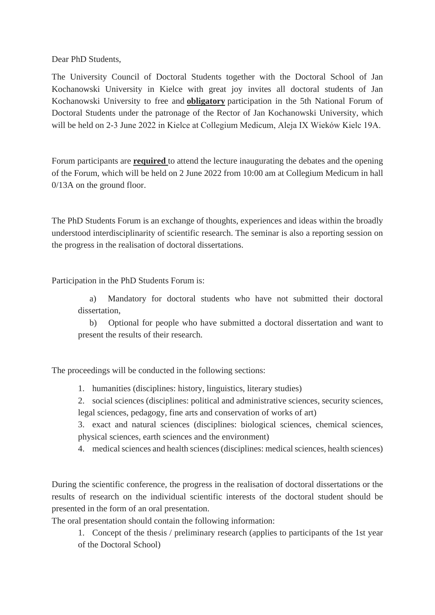Dear PhD Students,

The University Council of Doctoral Students together with the Doctoral School of Jan Kochanowski University in Kielce with great joy invites all doctoral students of Jan Kochanowski University to free and **obligatory** participation in the 5th National Forum of Doctoral Students under the patronage of the Rector of Jan Kochanowski University, which will be held on 2-3 June 2022 in Kielce at Collegium Medicum, Aleja IX Wieków Kielc 19A.

Forum participants are **required** to attend the lecture inaugurating the debates and the opening of the Forum, which will be held on 2 June 2022 from 10:00 am at Collegium Medicum in hall 0/13A on the ground floor.

The PhD Students Forum is an exchange of thoughts, experiences and ideas within the broadly understood interdisciplinarity of scientific research. The seminar is also a reporting session on the progress in the realisation of doctoral dissertations.

Participation in the PhD Students Forum is:

 a) Mandatory for doctoral students who have not submitted their doctoral dissertation,

 b) Optional for people who have submitted a doctoral dissertation and want to present the results of their research.

The proceedings will be conducted in the following sections:

1. humanities (disciplines: history, linguistics, literary studies)

2. social sciences (disciplines: political and administrative sciences, security sciences, legal sciences, pedagogy, fine arts and conservation of works of art)

3. exact and natural sciences (disciplines: biological sciences, chemical sciences, physical sciences, earth sciences and the environment)

4. medical sciences and health sciences (disciplines: medical sciences, health sciences)

During the scientific conference, the progress in the realisation of doctoral dissertations or the results of research on the individual scientific interests of the doctoral student should be presented in the form of an oral presentation.

The oral presentation should contain the following information:

1. Concept of the thesis / preliminary research (applies to participants of the 1st year of the Doctoral School)